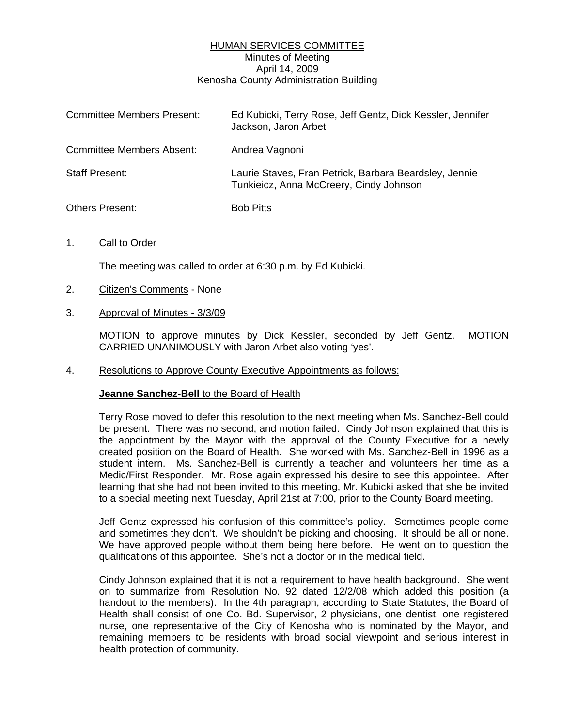# HUMAN SERVICES COMMITTEE Minutes of Meeting April 14, 2009 Kenosha County Administration Building

| <b>Committee Members Present:</b> | Ed Kubicki, Terry Rose, Jeff Gentz, Dick Kessler, Jennifer<br>Jackson, Jaron Arbet                |
|-----------------------------------|---------------------------------------------------------------------------------------------------|
| Committee Members Absent:         | Andrea Vagnoni                                                                                    |
| <b>Staff Present:</b>             | Laurie Staves, Fran Petrick, Barbara Beardsley, Jennie<br>Tunkieicz, Anna McCreery, Cindy Johnson |
| Others Present:                   | <b>Bob Pitts</b>                                                                                  |

1. Call to Order

The meeting was called to order at 6:30 p.m. by Ed Kubicki.

- 2. Citizen's Comments None
- 3. Approval of Minutes 3/3/09

 MOTION to approve minutes by Dick Kessler, seconded by Jeff Gentz. MOTION CARRIED UNANIMOUSLY with Jaron Arbet also voting 'yes'.

4. Resolutions to Approve County Executive Appointments as follows:

#### **Jeanne Sanchez-Bell** to the Board of Health

 Terry Rose moved to defer this resolution to the next meeting when Ms. Sanchez-Bell could be present. There was no second, and motion failed. Cindy Johnson explained that this is the appointment by the Mayor with the approval of the County Executive for a newly created position on the Board of Health. She worked with Ms. Sanchez-Bell in 1996 as a student intern. Ms. Sanchez-Bell is currently a teacher and volunteers her time as a Medic/First Responder. Mr. Rose again expressed his desire to see this appointee. After learning that she had not been invited to this meeting, Mr. Kubicki asked that she be invited to a special meeting next Tuesday, April 21st at 7:00, prior to the County Board meeting.

 Jeff Gentz expressed his confusion of this committee's policy. Sometimes people come and sometimes they don't. We shouldn't be picking and choosing. It should be all or none. We have approved people without them being here before. He went on to question the qualifications of this appointee. She's not a doctor or in the medical field.

 Cindy Johnson explained that it is not a requirement to have health background. She went on to summarize from Resolution No. 92 dated 12/2/08 which added this position (a handout to the members). In the 4th paragraph, according to State Statutes, the Board of Health shall consist of one Co. Bd. Supervisor, 2 physicians, one dentist, one registered nurse, one representative of the City of Kenosha who is nominated by the Mayor, and remaining members to be residents with broad social viewpoint and serious interest in health protection of community.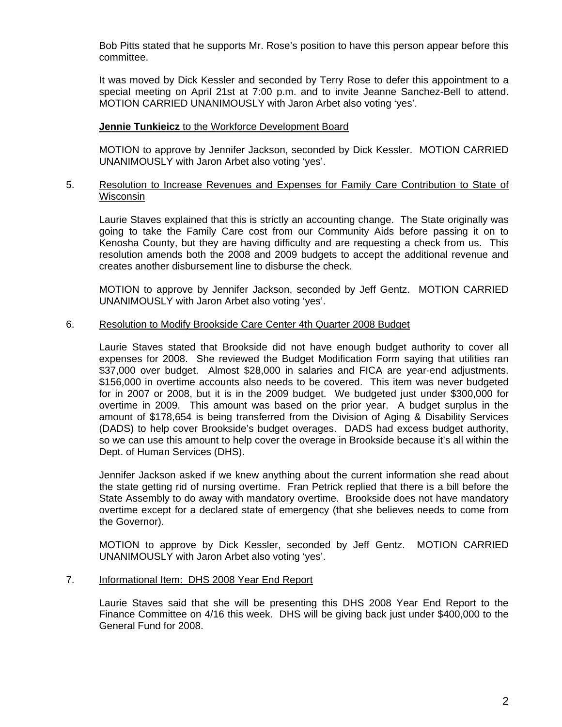Bob Pitts stated that he supports Mr. Rose's position to have this person appear before this committee.

 It was moved by Dick Kessler and seconded by Terry Rose to defer this appointment to a special meeting on April 21st at 7:00 p.m. and to invite Jeanne Sanchez-Bell to attend. MOTION CARRIED UNANIMOUSLY with Jaron Arbet also voting 'yes'.

### **Jennie Tunkieicz** to the Workforce Development Board

 MOTION to approve by Jennifer Jackson, seconded by Dick Kessler. MOTION CARRIED UNANIMOUSLY with Jaron Arbet also voting 'yes'.

### 5. Resolution to Increase Revenues and Expenses for Family Care Contribution to State of Wisconsin

 Laurie Staves explained that this is strictly an accounting change. The State originally was going to take the Family Care cost from our Community Aids before passing it on to Kenosha County, but they are having difficulty and are requesting a check from us. This resolution amends both the 2008 and 2009 budgets to accept the additional revenue and creates another disbursement line to disburse the check.

 MOTION to approve by Jennifer Jackson, seconded by Jeff Gentz. MOTION CARRIED UNANIMOUSLY with Jaron Arbet also voting 'yes'.

### 6. Resolution to Modify Brookside Care Center 4th Quarter 2008 Budget

 Laurie Staves stated that Brookside did not have enough budget authority to cover all expenses for 2008. She reviewed the Budget Modification Form saying that utilities ran \$37,000 over budget. Almost \$28,000 in salaries and FICA are year-end adjustments. \$156,000 in overtime accounts also needs to be covered. This item was never budgeted for in 2007 or 2008, but it is in the 2009 budget. We budgeted just under \$300,000 for overtime in 2009. This amount was based on the prior year. A budget surplus in the amount of \$178,654 is being transferred from the Division of Aging & Disability Services (DADS) to help cover Brookside's budget overages. DADS had excess budget authority, so we can use this amount to help cover the overage in Brookside because it's all within the Dept. of Human Services (DHS).

 Jennifer Jackson asked if we knew anything about the current information she read about the state getting rid of nursing overtime. Fran Petrick replied that there is a bill before the State Assembly to do away with mandatory overtime. Brookside does not have mandatory overtime except for a declared state of emergency (that she believes needs to come from the Governor).

 MOTION to approve by Dick Kessler, seconded by Jeff Gentz. MOTION CARRIED UNANIMOUSLY with Jaron Arbet also voting 'yes'.

### 7. Informational Item: DHS 2008 Year End Report

 Laurie Staves said that she will be presenting this DHS 2008 Year End Report to the Finance Committee on 4/16 this week. DHS will be giving back just under \$400,000 to the General Fund for 2008.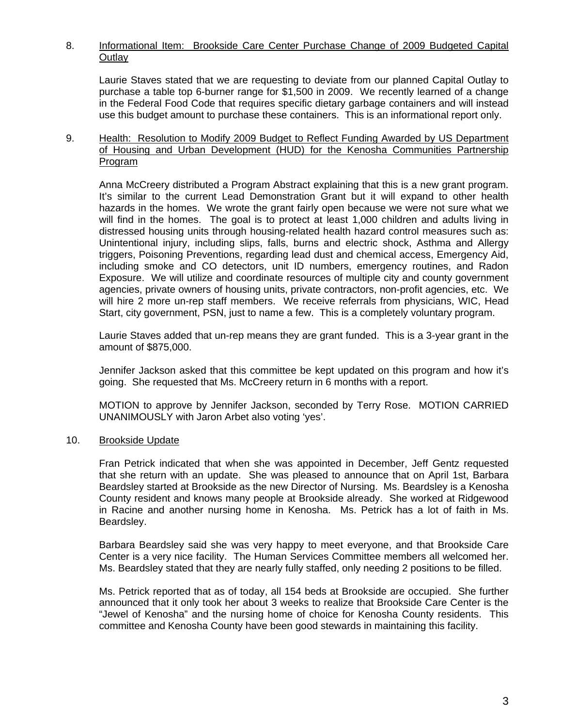# 8. Informational Item: Brookside Care Center Purchase Change of 2009 Budgeted Capital **Outlay**

 Laurie Staves stated that we are requesting to deviate from our planned Capital Outlay to purchase a table top 6-burner range for \$1,500 in 2009. We recently learned of a change in the Federal Food Code that requires specific dietary garbage containers and will instead use this budget amount to purchase these containers. This is an informational report only.

## 9. Health: Resolution to Modify 2009 Budget to Reflect Funding Awarded by US Department of Housing and Urban Development (HUD) for the Kenosha Communities Partnership Program

 Anna McCreery distributed a Program Abstract explaining that this is a new grant program. It's similar to the current Lead Demonstration Grant but it will expand to other health hazards in the homes. We wrote the grant fairly open because we were not sure what we will find in the homes. The goal is to protect at least 1,000 children and adults living in distressed housing units through housing-related health hazard control measures such as: Unintentional injury, including slips, falls, burns and electric shock, Asthma and Allergy triggers, Poisoning Preventions, regarding lead dust and chemical access, Emergency Aid, including smoke and CO detectors, unit ID numbers, emergency routines, and Radon Exposure. We will utilize and coordinate resources of multiple city and county government agencies, private owners of housing units, private contractors, non-profit agencies, etc. We will hire 2 more un-rep staff members. We receive referrals from physicians, WIC, Head Start, city government, PSN, just to name a few. This is a completely voluntary program.

 Laurie Staves added that un-rep means they are grant funded. This is a 3-year grant in the amount of \$875,000.

 Jennifer Jackson asked that this committee be kept updated on this program and how it's going. She requested that Ms. McCreery return in 6 months with a report.

 MOTION to approve by Jennifer Jackson, seconded by Terry Rose. MOTION CARRIED UNANIMOUSLY with Jaron Arbet also voting 'yes'.

# 10. Brookside Update

 Fran Petrick indicated that when she was appointed in December, Jeff Gentz requested that she return with an update. She was pleased to announce that on April 1st, Barbara Beardsley started at Brookside as the new Director of Nursing. Ms. Beardsley is a Kenosha County resident and knows many people at Brookside already. She worked at Ridgewood in Racine and another nursing home in Kenosha. Ms. Petrick has a lot of faith in Ms. Beardsley.

 Barbara Beardsley said she was very happy to meet everyone, and that Brookside Care Center is a very nice facility. The Human Services Committee members all welcomed her. Ms. Beardsley stated that they are nearly fully staffed, only needing 2 positions to be filled.

 Ms. Petrick reported that as of today, all 154 beds at Brookside are occupied. She further announced that it only took her about 3 weeks to realize that Brookside Care Center is the "Jewel of Kenosha" and the nursing home of choice for Kenosha County residents. This committee and Kenosha County have been good stewards in maintaining this facility.